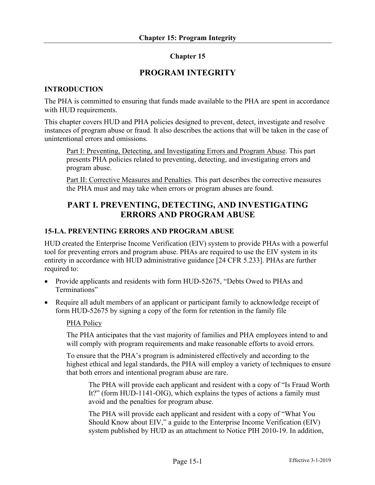# **Chapter 15**

# **PROGRAM INTEGRITY**

## **INTRODUCTION**

The PHA is committed to ensuring that funds made available to the PHA are spent in accordance with HUD requirements.

This chapter covers HUD and PHA policies designed to prevent, detect, investigate and resolve instances of program abuse or fraud. It also describes the actions that will be taken in the case of unintentional errors and omissions.

Part I: Preventing, Detecting, and Investigating Errors and Program Abuse. This part presents PHA policies related to preventing, detecting, and investigating errors and program abuse.

Part II: Corrective Measures and Penalties. This part describes the corrective measures the PHA must and may take when errors or program abuses are found.

# **PART I. PREVENTING, DETECTING, AND INVESTIGATING ERRORS AND PROGRAM ABUSE**

#### **15-I.A. PREVENTING ERRORS AND PROGRAM ABUSE**

HUD created the Enterprise Income Verification (EIV) system to provide PHAs with a powerful tool for preventing errors and program abuse. PHAs are required to use the EIV system in its entirety in accordance with HUD administrative guidance [24 CFR 5.233]. PHAs are further required to:

- Provide applicants and residents with form HUD-52675, "Debts Owed to PHAs and Terminations"
- Require all adult members of an applicant or participant family to acknowledge receipt of form HUD-52675 by signing a copy of the form for retention in the family file

#### PHA Policy

The PHA anticipates that the vast majority of families and PHA employees intend to and will comply with program requirements and make reasonable efforts to avoid errors.

To ensure that the PHA's program is administered effectively and according to the highest ethical and legal standards, the PHA will employ a variety of techniques to ensure that both errors and intentional program abuse are rare.

The PHA will provide each applicant and resident with a copy of "Is Fraud Worth It?" (form HUD-1141-OIG), which explains the types of actions a family must avoid and the penalties for program abuse.

The PHA will provide each applicant and resident with a copy of "What You Should Know about EIV," a guide to the Enterprise Income Verification (EIV) system published by HUD as an attachment to Notice PIH 2010-19. In addition,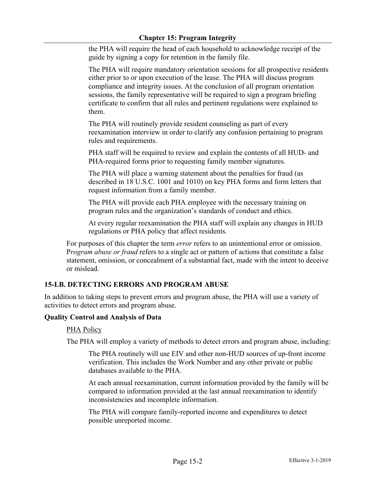## **Chapter 15: Program Integrity**

the PHA will require the head of each household to acknowledge receipt of the guide by signing a copy for retention in the family file.

The PHA will require mandatory orientation sessions for all prospective residents either prior to or upon execution of the lease. The PHA will discuss program compliance and integrity issues. At the conclusion of all program orientation sessions, the family representative will be required to sign a program briefing certificate to confirm that all rules and pertinent regulations were explained to them.

The PHA will routinely provide resident counseling as part of every reexamination interview in order to clarify any confusion pertaining to program rules and requirements.

PHA staff will be required to review and explain the contents of all HUD- and PHA-required forms prior to requesting family member signatures.

The PHA will place a warning statement about the penalties for fraud (as described in 18 U.S.C. 1001 and 1010) on key PHA forms and form letters that request information from a family member.

The PHA will provide each PHA employee with the necessary training on program rules and the organization's standards of conduct and ethics.

At every regular reexamination the PHA staff will explain any changes in HUD regulations or PHA policy that affect residents.

For purposes of this chapter the term *error* refers to an unintentional error or omission. P*rogram abuse or fraud* refers to a single act or pattern of actions that constitute a false statement, omission, or concealment of a substantial fact, made with the intent to deceive or mislead.

# **15-I.B. DETECTING ERRORS AND PROGRAM ABUSE**

In addition to taking steps to prevent errors and program abuse, the PHA will use a variety of activities to detect errors and program abuse.

# **Quality Control and Analysis of Data**

PHA Policy

The PHA will employ a variety of methods to detect errors and program abuse, including:

The PHA routinely will use EIV and other non-HUD sources of up-front income verification. This includes the Work Number and any other private or public databases available to the PHA.

At each annual reexamination, current information provided by the family will be compared to information provided at the last annual reexamination to identify inconsistencies and incomplete information.

The PHA will compare family-reported income and expenditures to detect possible unreported income.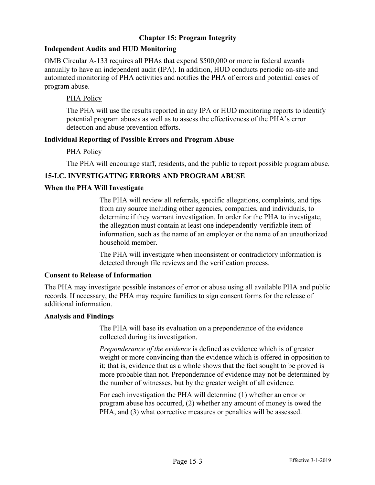#### **Independent Audits and HUD Monitoring**

OMB Circular A-133 requires all PHAs that expend \$500,000 or more in federal awards annually to have an independent audit (IPA). In addition, HUD conducts periodic on-site and automated monitoring of PHA activities and notifies the PHA of errors and potential cases of program abuse.

## PHA Policy

The PHA will use the results reported in any IPA or HUD monitoring reports to identify potential program abuses as well as to assess the effectiveness of the PHA's error detection and abuse prevention efforts.

#### **Individual Reporting of Possible Errors and Program Abuse**

#### PHA Policy

The PHA will encourage staff, residents, and the public to report possible program abuse.

# **15-I.C. INVESTIGATING ERRORS AND PROGRAM ABUSE**

#### **When the PHA Will Investigate**

The PHA will review all referrals, specific allegations, complaints, and tips from any source including other agencies, companies, and individuals, to determine if they warrant investigation. In order for the PHA to investigate, the allegation must contain at least one independently-verifiable item of information, such as the name of an employer or the name of an unauthorized household member.

The PHA will investigate when inconsistent or contradictory information is detected through file reviews and the verification process.

#### **Consent to Release of Information**

The PHA may investigate possible instances of error or abuse using all available PHA and public records. If necessary, the PHA may require families to sign consent forms for the release of additional information.

#### **Analysis and Findings**

The PHA will base its evaluation on a preponderance of the evidence collected during its investigation.

*Preponderance of the evidence* is defined as evidence which is of greater weight or more convincing than the evidence which is offered in opposition to it; that is, evidence that as a whole shows that the fact sought to be proved is more probable than not. Preponderance of evidence may not be determined by the number of witnesses, but by the greater weight of all evidence.

For each investigation the PHA will determine (1) whether an error or program abuse has occurred, (2) whether any amount of money is owed the PHA, and (3) what corrective measures or penalties will be assessed.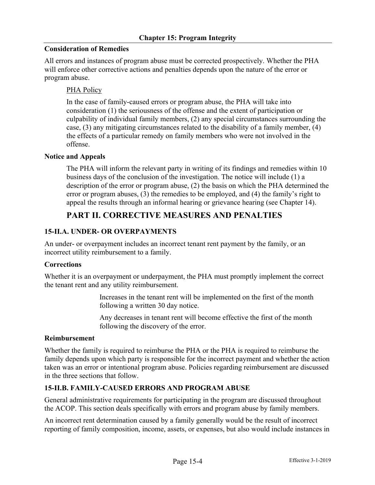## **Consideration of Remedies**

All errors and instances of program abuse must be corrected prospectively. Whether the PHA will enforce other corrective actions and penalties depends upon the nature of the error or program abuse.

## PHA Policy

In the case of family-caused errors or program abuse, the PHA will take into consideration (1) the seriousness of the offense and the extent of participation or culpability of individual family members, (2) any special circumstances surrounding the case, (3) any mitigating circumstances related to the disability of a family member, (4) the effects of a particular remedy on family members who were not involved in the offense.

#### **Notice and Appeals**

The PHA will inform the relevant party in writing of its findings and remedies within 10 business days of the conclusion of the investigation. The notice will include (1) a description of the error or program abuse, (2) the basis on which the PHA determined the error or program abuses, (3) the remedies to be employed, and (4) the family's right to appeal the results through an informal hearing or grievance hearing (see Chapter 14).

# **PART II. CORRECTIVE MEASURES AND PENALTIES**

# **15-II.A. UNDER- OR OVERPAYMENTS**

An under- or overpayment includes an incorrect tenant rent payment by the family, or an incorrect utility reimbursement to a family.

# **Corrections**

Whether it is an overpayment or underpayment, the PHA must promptly implement the correct the tenant rent and any utility reimbursement.

> Increases in the tenant rent will be implemented on the first of the month following a written 30 day notice.

> Any decreases in tenant rent will become effective the first of the month following the discovery of the error.

#### **Reimbursement**

Whether the family is required to reimburse the PHA or the PHA is required to reimburse the family depends upon which party is responsible for the incorrect payment and whether the action taken was an error or intentional program abuse. Policies regarding reimbursement are discussed in the three sections that follow.

# **15-II.B. FAMILY-CAUSED ERRORS AND PROGRAM ABUSE**

General administrative requirements for participating in the program are discussed throughout the ACOP. This section deals specifically with errors and program abuse by family members.

An incorrect rent determination caused by a family generally would be the result of incorrect reporting of family composition, income, assets, or expenses, but also would include instances in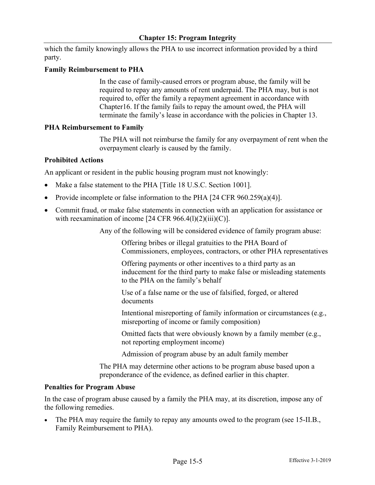which the family knowingly allows the PHA to use incorrect information provided by a third party.

## **Family Reimbursement to PHA**

In the case of family-caused errors or program abuse, the family will be required to repay any amounts of rent underpaid. The PHA may, but is not required to, offer the family a repayment agreement in accordance with Chapter16. If the family fails to repay the amount owed, the PHA will terminate the family's lease in accordance with the policies in Chapter 13.

#### **PHA Reimbursement to Family**

The PHA will not reimburse the family for any overpayment of rent when the overpayment clearly is caused by the family.

#### **Prohibited Actions**

An applicant or resident in the public housing program must not knowingly:

- Make a false statement to the PHA [Title 18 U.S.C. Section 1001].
- Provide incomplete or false information to the PHA [24 CFR 960.259(a)(4)].
- Commit fraud, or make false statements in connection with an application for assistance or with reexamination of income  $[24 \text{ CFR } 966.4 \text{ (l)}(2) \text{ (iii)}(C)]$ .

Any of the following will be considered evidence of family program abuse:

Offering bribes or illegal gratuities to the PHA Board of Commissioners, employees, contractors, or other PHA representatives

Offering payments or other incentives to a third party as an inducement for the third party to make false or misleading statements to the PHA on the family's behalf

Use of a false name or the use of falsified, forged, or altered documents

Intentional misreporting of family information or circumstances (e.g., misreporting of income or family composition)

Omitted facts that were obviously known by a family member (e.g., not reporting employment income)

Admission of program abuse by an adult family member

The PHA may determine other actions to be program abuse based upon a preponderance of the evidence, as defined earlier in this chapter.

#### **Penalties for Program Abuse**

In the case of program abuse caused by a family the PHA may, at its discretion, impose any of the following remedies.

The PHA may require the family to repay any amounts owed to the program (see 15-II.B., Family Reimbursement to PHA).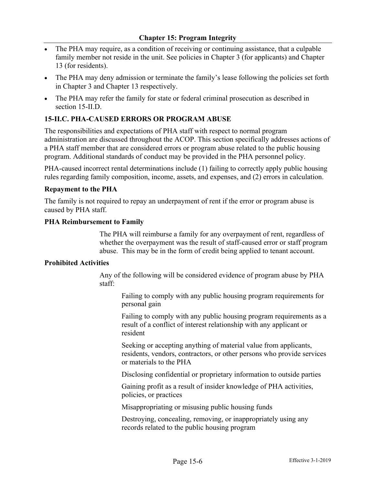- The PHA may require, as a condition of receiving or continuing assistance, that a culpable family member not reside in the unit. See policies in Chapter 3 (for applicants) and Chapter 13 (for residents).
- The PHA may deny admission or terminate the family's lease following the policies set forth in Chapter 3 and Chapter 13 respectively.
- The PHA may refer the family for state or federal criminal prosecution as described in section 15-II.D.

# **15-II.C. PHA-CAUSED ERRORS OR PROGRAM ABUSE**

The responsibilities and expectations of PHA staff with respect to normal program administration are discussed throughout the ACOP. This section specifically addresses actions of a PHA staff member that are considered errors or program abuse related to the public housing program. Additional standards of conduct may be provided in the PHA personnel policy.

PHA-caused incorrect rental determinations include (1) failing to correctly apply public housing rules regarding family composition, income, assets, and expenses, and (2) errors in calculation.

#### **Repayment to the PHA**

The family is not required to repay an underpayment of rent if the error or program abuse is caused by PHA staff.

#### **PHA Reimbursement to Family**

The PHA will reimburse a family for any overpayment of rent, regardless of whether the overpayment was the result of staff-caused error or staff program abuse. This may be in the form of credit being applied to tenant account.

## **Prohibited Activities**

Any of the following will be considered evidence of program abuse by PHA staff:

Failing to comply with any public housing program requirements for personal gain

Failing to comply with any public housing program requirements as a result of a conflict of interest relationship with any applicant or resident

Seeking or accepting anything of material value from applicants, residents, vendors, contractors, or other persons who provide services or materials to the PHA

Disclosing confidential or proprietary information to outside parties

Gaining profit as a result of insider knowledge of PHA activities, policies, or practices

Misappropriating or misusing public housing funds

Destroying, concealing, removing, or inappropriately using any records related to the public housing program